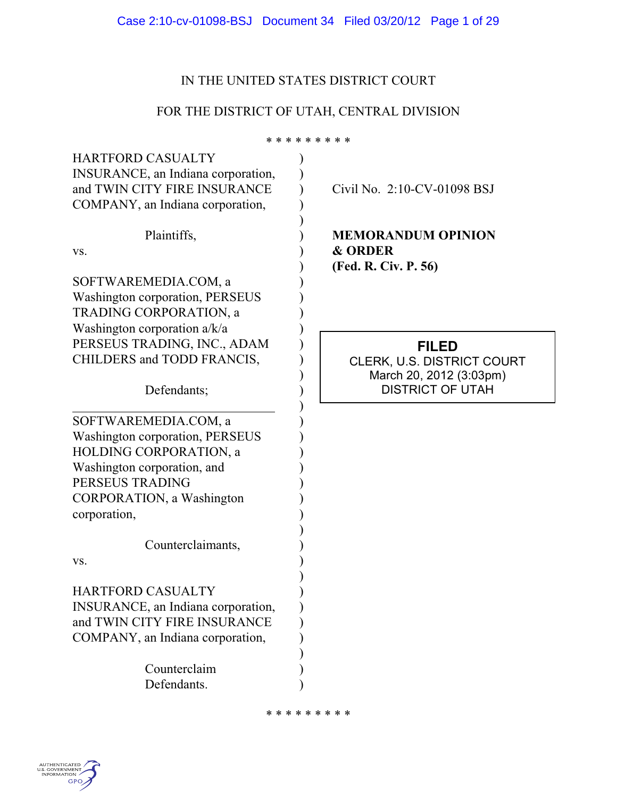| Case 2:10-cv-01098-BSJ Document 34 Filed 03/20/12 Page 1 of 29 |  |  |  |
|----------------------------------------------------------------|--|--|--|
|----------------------------------------------------------------|--|--|--|

### IN THE UNITED STATES DISTRICT COURT

# FOR THE DISTRICT OF UTAH, CENTRAL DIVISION

**FILED** CLERK, U.S. DISTRICT COURT March 20, 2012 (3:03pm) DISTRICT OF UTAH \* \* \* \* \* \* \* \* \* HARTFORD CASUALTY INSURANCE, an Indiana corporation, and TWIN CITY FIRE INSURANCE COMPANY, an Indiana corporation, Plaintiffs, vs. SOFTWAREMEDIA.COM, a Washington corporation, PERSEUS TRADING CORPORATION, a Washington corporation a/k/a PERSEUS TRADING, INC., ADAM CHILDERS and TODD FRANCIS, Defendants; SOFTWAREMEDIA.COM, a Washington corporation, PERSEUS HOLDING CORPORATION, a Washington corporation, and PERSEUS TRADING CORPORATION, a Washington corporation, Counterclaimants, vs. HARTFORD CASUALTY INSURANCE, an Indiana corporation, and TWIN CITY FIRE INSURANCE COMPANY, an Indiana corporation, Counterclaim Defendants. ) ) ) ) ) ) ) ) ) ) ) ) ) ) ) ) ) ) ) ) ) ) ) ) ) ) ) ) ) ) ) ) ) ) ) Civil No. 2:10-CV-01098 BSJ **MEMORANDUM OPINION & ORDER (Fed. R. Civ. P. 56)**

\* \* \* \* \* \* \* \* \*

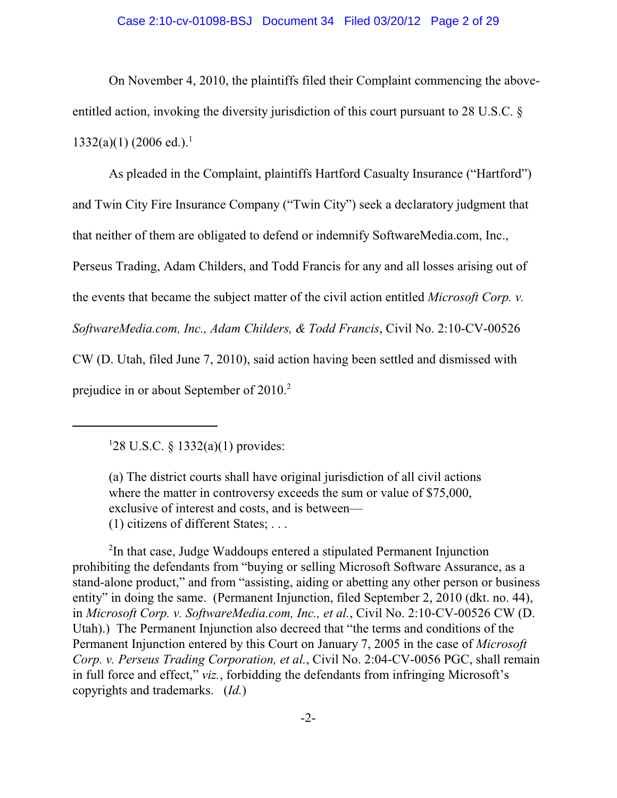# Case 2:10-cv-01098-BSJ Document 34 Filed 03/20/12 Page 2 of 29

On November 4, 2010, the plaintiffs filed their Complaint commencing the aboveentitled action, invoking the diversity jurisdiction of this court pursuant to 28 U.S.C. §  $1332(a)(1)$  (2006 ed.).<sup>1</sup>

As pleaded in the Complaint, plaintiffs Hartford Casualty Insurance ("Hartford") and Twin City Fire Insurance Company ("Twin City") seek a declaratory judgment that that neither of them are obligated to defend or indemnify SoftwareMedia.com, Inc., Perseus Trading, Adam Childers, and Todd Francis for any and all losses arising out of the events that became the subject matter of the civil action entitled *Microsoft Corp. v. SoftwareMedia.com, Inc., Adam Childers, & Todd Francis*, Civil No. 2:10-CV-00526 CW (D. Utah, filed June 7, 2010), said action having been settled and dismissed with prejudice in or about September of  $2010.<sup>2</sup>$ 

(1) citizens of different States; . . .

<sup>2</sup>In that case, Judge Waddoups entered a stipulated Permanent Injunction prohibiting the defendants from "buying or selling Microsoft Software Assurance, as a stand-alone product," and from "assisting, aiding or abetting any other person or business entity" in doing the same. (Permanent Injunction, filed September 2, 2010 (dkt. no. 44), in *Microsoft Corp. v. SoftwareMedia.com, Inc., et al.*, Civil No. 2:10-CV-00526 CW (D. Utah).) The Permanent Injunction also decreed that "the terms and conditions of the Permanent Injunction entered by this Court on January 7, 2005 in the case of *Microsoft Corp. v. Perseus Trading Corporation, et al.*, Civil No. 2:04-CV-0056 PGC, shall remain in full force and effect," *viz.*, forbidding the defendants from infringing Microsoft's copyrights and trademarks. (*Id.*)

<sup>&</sup>lt;sup>1</sup>28 U.S.C. § 1332(a)(1) provides:

<sup>(</sup>a) The district courts shall have original jurisdiction of all civil actions where the matter in controversy exceeds the sum or value of \$75,000, exclusive of interest and costs, and is between—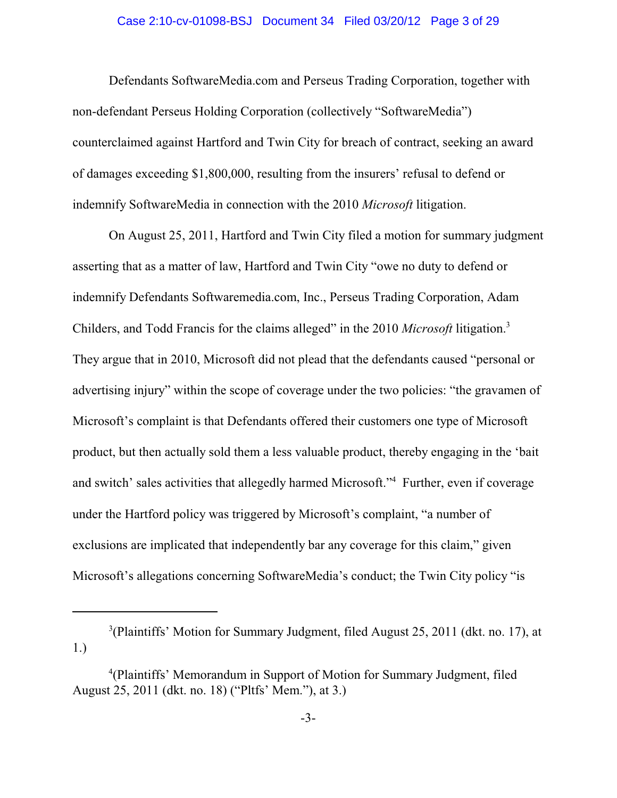#### Case 2:10-cv-01098-BSJ Document 34 Filed 03/20/12 Page 3 of 29

Defendants SoftwareMedia.com and Perseus Trading Corporation, together with non-defendant Perseus Holding Corporation (collectively "SoftwareMedia") counterclaimed against Hartford and Twin City for breach of contract, seeking an award of damages exceeding \$1,800,000, resulting from the insurers' refusal to defend or indemnify SoftwareMedia in connection with the 2010 *Microsoft* litigation.

On August 25, 2011, Hartford and Twin City filed a motion for summary judgment asserting that as a matter of law, Hartford and Twin City "owe no duty to defend or indemnify Defendants Softwaremedia.com, Inc., Perseus Trading Corporation, Adam Childers, and Todd Francis for the claims alleged" in the 2010 *Microsoft* litigation. 3 They argue that in 2010, Microsoft did not plead that the defendants caused "personal or advertising injury" within the scope of coverage under the two policies: "the gravamen of Microsoft's complaint is that Defendants offered their customers one type of Microsoft product, but then actually sold them a less valuable product, thereby engaging in the 'bait and switch' sales activities that allegedly harmed Microsoft."<sup>4</sup> Further, even if coverage under the Hartford policy was triggered by Microsoft's complaint, "a number of exclusions are implicated that independently bar any coverage for this claim," given Microsoft's allegations concerning SoftwareMedia's conduct; the Twin City policy "is

 $3$ (Plaintiffs' Motion for Summary Judgment, filed August 25, 2011 (dkt. no. 17), at 1.)

<sup>&</sup>lt;sup>4</sup>(Plaintiffs' Memorandum in Support of Motion for Summary Judgment, filed August 25, 2011 (dkt. no. 18) ("Pltfs' Mem."), at 3.)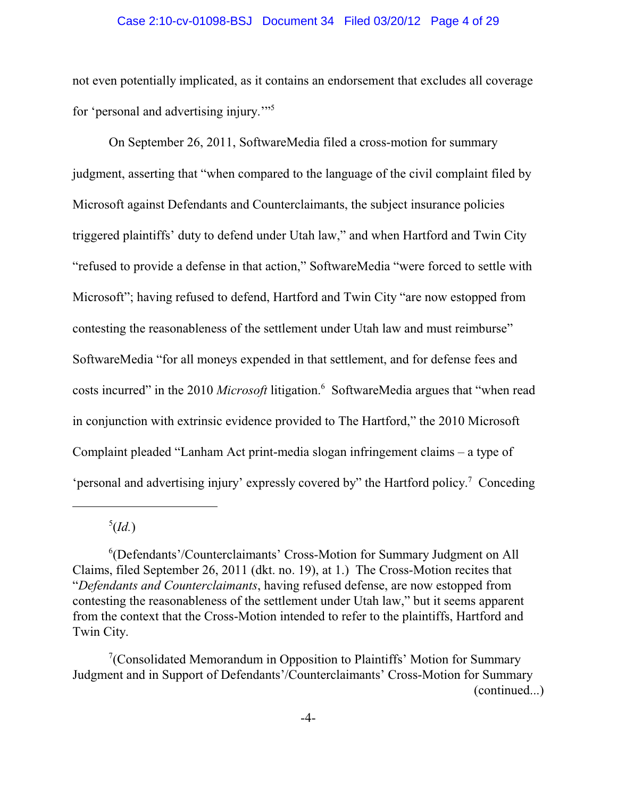#### Case 2:10-cv-01098-BSJ Document 34 Filed 03/20/12 Page 4 of 29

not even potentially implicated, as it contains an endorsement that excludes all coverage for 'personal and advertising injury.'"<sup>5</sup>

On September 26, 2011, SoftwareMedia filed a cross-motion for summary judgment, asserting that "when compared to the language of the civil complaint filed by Microsoft against Defendants and Counterclaimants, the subject insurance policies triggered plaintiffs' duty to defend under Utah law," and when Hartford and Twin City "refused to provide a defense in that action," SoftwareMedia "were forced to settle with Microsoft"; having refused to defend, Hartford and Twin City "are now estopped from contesting the reasonableness of the settlement under Utah law and must reimburse" SoftwareMedia "for all moneys expended in that settlement, and for defense fees and costs incurred" in the 2010 *Microsoft* litigation.<sup>6</sup> SoftwareMedia argues that "when read in conjunction with extrinsic evidence provided to The Hartford," the 2010 Microsoft Complaint pleaded "Lanham Act print-media slogan infringement claims – a type of 'personal and advertising injury' expressly covered by" the Hartford policy.<sup>7</sup> Conceding

 $<sup>5</sup>(Id.)$ </sup>

<sup>&</sup>lt;sup>6</sup>(Defendants'/Counterclaimants' Cross-Motion for Summary Judgment on All Claims, filed September 26, 2011 (dkt. no. 19), at 1.) The Cross-Motion recites that "*Defendants and Counterclaimants*, having refused defense, are now estopped from contesting the reasonableness of the settlement under Utah law," but it seems apparent from the context that the Cross-Motion intended to refer to the plaintiffs, Hartford and Twin City.

<sup>&</sup>lt;sup>7</sup> (Consolidated Memorandum in Opposition to Plaintiffs' Motion for Summary Judgment and in Support of Defendants'/Counterclaimants' Cross-Motion for Summary (continued...)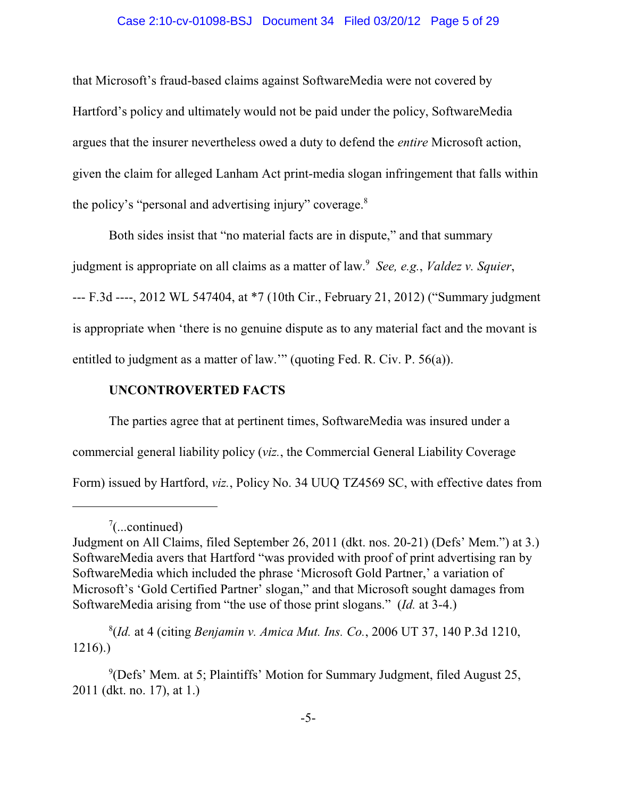#### Case 2:10-cv-01098-BSJ Document 34 Filed 03/20/12 Page 5 of 29

that Microsoft's fraud-based claims against SoftwareMedia were not covered by Hartford's policy and ultimately would not be paid under the policy, SoftwareMedia argues that the insurer nevertheless owed a duty to defend the *entire* Microsoft action, given the claim for alleged Lanham Act print-media slogan infringement that falls within the policy's "personal and advertising injury" coverage.<sup>8</sup>

Both sides insist that "no material facts are in dispute," and that summary

judgment is appropriate on all claims as a matter of law.<sup>9</sup> See, e.g., Valdez v. Squier,

--- F.3d ----, 2012 WL 547404, at \*7 (10th Cir., February 21, 2012) ("Summary judgment is appropriate when 'there is no genuine dispute as to any material fact and the movant is entitled to judgment as a matter of law.'" (quoting Fed. R. Civ. P. 56(a)).

# **UNCONTROVERTED FACTS**

The parties agree that at pertinent times, SoftwareMedia was insured under a commercial general liability policy (*viz.*, the Commercial General Liability Coverage Form) issued by Hartford, *viz.*, Policy No. 34 UUQ TZ4569 SC, with effective dates from

(*Id.* at 4 (citing *Benjamin v. Amica Mut. Ins. Co.*, 2006 UT 37, 140 P.3d 1210, <sup>8</sup> 1216).)

 $\frac{7}{2}$ ...continued)

Judgment on All Claims, filed September 26, 2011 (dkt. nos. 20-21) (Defs' Mem.") at 3.) SoftwareMedia avers that Hartford "was provided with proof of print advertising ran by SoftwareMedia which included the phrase 'Microsoft Gold Partner,' a variation of Microsoft's 'Gold Certified Partner' slogan," and that Microsoft sought damages from SoftwareMedia arising from "the use of those print slogans." (*Id.* at 3-4.)

 $\rm{^{9}(Defs)}$  Mem. at 5; Plaintiffs' Motion for Summary Judgment, filed August 25, 2011 (dkt. no. 17), at 1.)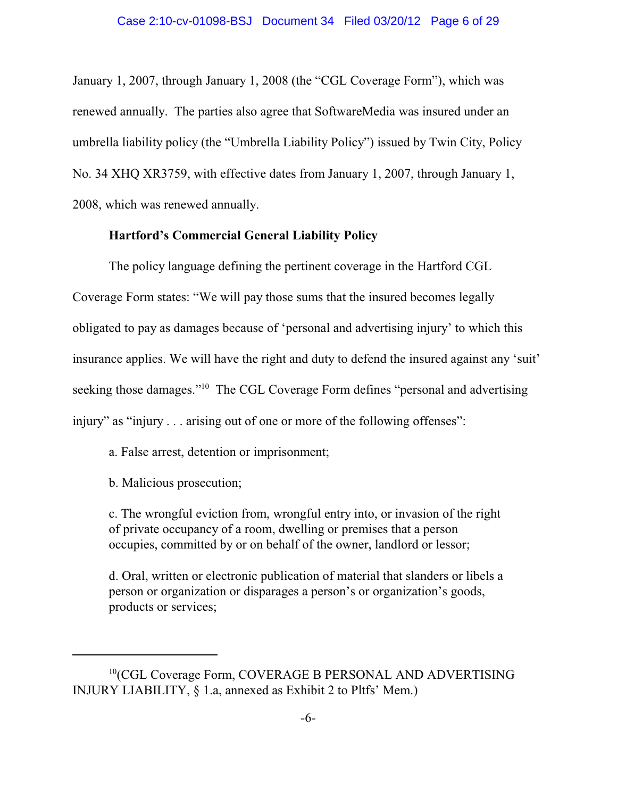January 1, 2007, through January 1, 2008 (the "CGL Coverage Form"), which was renewed annually. The parties also agree that SoftwareMedia was insured under an umbrella liability policy (the "Umbrella Liability Policy") issued by Twin City, Policy No. 34 XHQ XR3759, with effective dates from January 1, 2007, through January 1, 2008, which was renewed annually.

# **Hartford's Commercial General Liability Policy**

The policy language defining the pertinent coverage in the Hartford CGL Coverage Form states: "We will pay those sums that the insured becomes legally obligated to pay as damages because of 'personal and advertising injury' to which this insurance applies. We will have the right and duty to defend the insured against any 'suit' seeking those damages."<sup>10</sup> The CGL Coverage Form defines "personal and advertising injury" as "injury . . . arising out of one or more of the following offenses":

a. False arrest, detention or imprisonment;

b. Malicious prosecution;

c. The wrongful eviction from, wrongful entry into, or invasion of the right of private occupancy of a room, dwelling or premises that a person occupies, committed by or on behalf of the owner, landlord or lessor;

d. Oral, written or electronic publication of material that slanders or libels a person or organization or disparages a person's or organization's goods, products or services;

 $10$ (CGL Coverage Form, COVERAGE B PERSONAL AND ADVERTISING INJURY LIABILITY, § 1.a, annexed as Exhibit 2 to Pltfs' Mem.)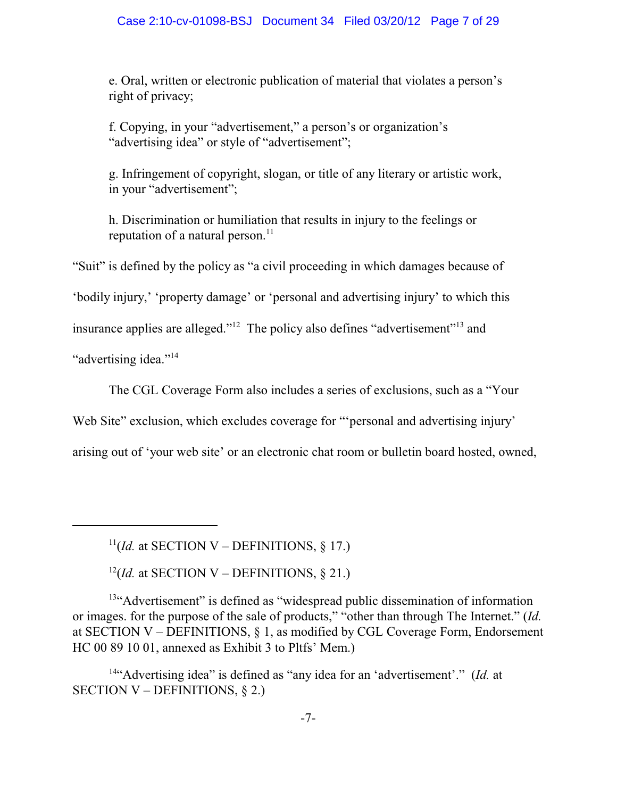e. Oral, written or electronic publication of material that violates a person's right of privacy;

f. Copying, in your "advertisement," a person's or organization's "advertising idea" or style of "advertisement";

g. Infringement of copyright, slogan, or title of any literary or artistic work, in your "advertisement";

h. Discrimination or humiliation that results in injury to the feelings or reputation of a natural person. $^{11}$ 

"Suit" is defined by the policy as "a civil proceeding in which damages because of

'bodily injury,' 'property damage' or 'personal and advertising injury' to which this

insurance applies are alleged."<sup>12</sup> The policy also defines "advertisement"<sup>13</sup> and

"advertising idea."<sup>14</sup>

The CGL Coverage Form also includes a series of exclusions, such as a "Your

Web Site" exclusion, which excludes coverage for ""personal and advertising injury"

arising out of 'your web site' or an electronic chat room or bulletin board hosted, owned,

 $^{11}$ (*Id.* at SECTION V – DEFINITIONS, § 17.)

 $^{12}$ (*Id.* at SECTION V – DEFINITIONS, § 21.)

 $13$ "Advertisement" is defined as "widespread public dissemination of information or images. for the purpose of the sale of products," "other than through The Internet." (*Id.* at SECTION V – DEFINITIONS, § 1, as modified by CGL Coverage Form, Endorsement HC 00 89 10 01, annexed as Exhibit 3 to Pltfs' Mem.)

<sup>14"</sup>Advertising idea" is defined as "any idea for an 'advertisement'." (*Id.* at SECTION V – DEFINITIONS, § 2.)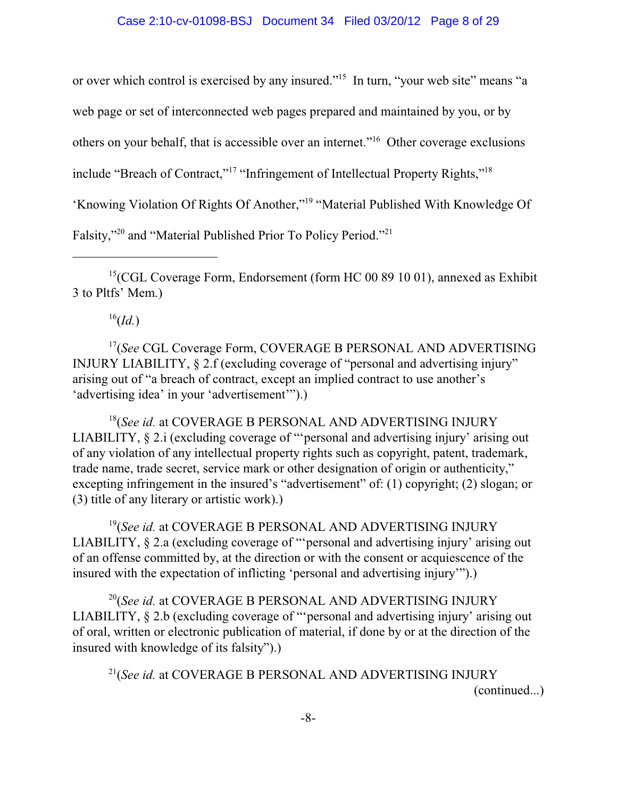or over which control is exercised by any insured."<sup>15</sup> In turn, "your web site" means "a

web page or set of interconnected web pages prepared and maintained by you, or by

others on your behalf, that is accessible over an internet."<sup>16</sup> Other coverage exclusions

include "Breach of Contract,"<sup>17</sup> "Infringement of Intellectual Property Rights,"<sup>18</sup>

'Knowing Violation Of Rights Of Another,"<sup>19</sup> "Material Published With Knowledge Of

Falsity,"<sup>20</sup> and "Material Published Prior To Policy Period."<sup>21</sup>

<sup>15</sup> (CGL Coverage Form, Endorsement (form HC 00 89 10 01), annexed as Exhibit 3 to Pltfs' Mem.)

 $^{16}(Id.)$ 

<sup>17</sup>(See CGL Coverage Form, COVERAGE B PERSONAL AND ADVERTISING INJURY LIABILITY, § 2.f (excluding coverage of "personal and advertising injury" arising out of "a breach of contract, except an implied contract to use another's 'advertising idea' in your 'advertisement'").)

<sup>18</sup>(See id. at COVERAGE B PERSONAL AND ADVERTISING INJURY LIABILITY, § 2.i (excluding coverage of "'personal and advertising injury' arising out of any violation of any intellectual property rights such as copyright, patent, trademark, trade name, trade secret, service mark or other designation of origin or authenticity," excepting infringement in the insured's "advertisement" of: (1) copyright; (2) slogan; or (3) title of any literary or artistic work).)

<sup>19</sup>(See id. at COVERAGE B PERSONAL AND ADVERTISING INJURY LIABILITY, § 2.a (excluding coverage of "'personal and advertising injury' arising out of an offense committed by, at the direction or with the consent or acquiescence of the insured with the expectation of inflicting 'personal and advertising injury'").)

<sup>20</sup>(*See id.* at COVERAGE B PERSONAL AND ADVERTISING INJURY LIABILITY, § 2.b (excluding coverage of "'personal and advertising injury' arising out of oral, written or electronic publication of material, if done by or at the direction of the insured with knowledge of its falsity").)

<sup>21</sup>(*See id.* at COVERAGE B PERSONAL AND ADVERTISING INJURY (continued...)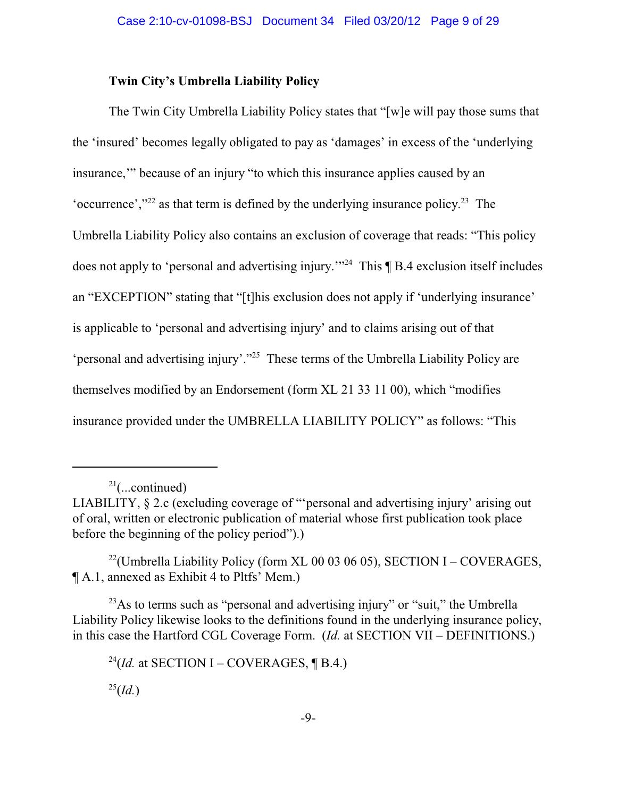# **Twin City's Umbrella Liability Policy**

The Twin City Umbrella Liability Policy states that "[w]e will pay those sums that the 'insured' becomes legally obligated to pay as 'damages' in excess of the 'underlying insurance,'" because of an injury "to which this insurance applies caused by an 'occurrence', $v^{22}$  as that term is defined by the underlying insurance policy.<sup>23</sup> The Umbrella Liability Policy also contains an exclusion of coverage that reads: "This policy does not apply to 'personal and advertising injury."<sup>24</sup> This  $\P$  B.4 exclusion itself includes an "EXCEPTION" stating that "[t]his exclusion does not apply if 'underlying insurance' is applicable to 'personal and advertising injury' and to claims arising out of that 'personal and advertising injury'."<sup>25</sup> These terms of the Umbrella Liability Policy are themselves modified by an Endorsement (form XL 21 33 11 00), which "modifies insurance provided under the UMBRELLA LIABILITY POLICY" as follows: "This

<sup>22</sup>(Umbrella Liability Policy (form XL 00 03 06 05), SECTION I – COVERAGES, ¶ A.1, annexed as Exhibit 4 to Pltfs' Mem.)

 $^{23}$ As to terms such as "personal and advertising injury" or "suit," the Umbrella Liability Policy likewise looks to the definitions found in the underlying insurance policy, in this case the Hartford CGL Coverage Form. (*Id.* at SECTION VII – DEFINITIONS.)

<sup>24</sup>(*Id.* at SECTION I – COVERAGES, ¶ B.4.)  $^{25}(Id.)$ 

 $2^{1}$ (...continued)

LIABILITY, § 2.c (excluding coverage of "'personal and advertising injury' arising out of oral, written or electronic publication of material whose first publication took place before the beginning of the policy period").)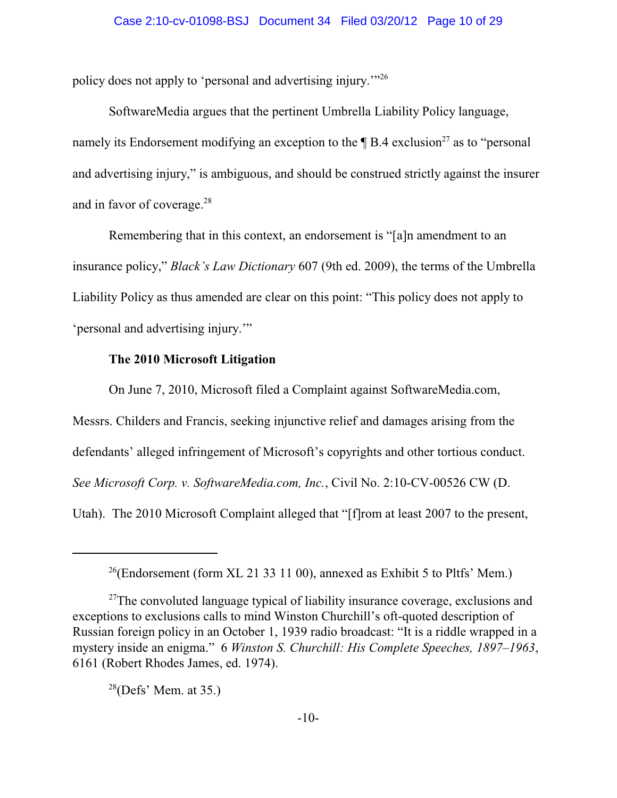policy does not apply to 'personal and advertising injury.'"<sup>26</sup>

SoftwareMedia argues that the pertinent Umbrella Liability Policy language, namely its Endorsement modifying an exception to the  $\P$  B.4 exclusion<sup>27</sup> as to "personal and advertising injury," is ambiguous, and should be construed strictly against the insurer and in favor of coverage.<sup>28</sup>

Remembering that in this context, an endorsement is "[a]n amendment to an insurance policy," *Black's Law Dictionary* 607 (9th ed. 2009), the terms of the Umbrella Liability Policy as thus amended are clear on this point: "This policy does not apply to 'personal and advertising injury.'"

# **The 2010 Microsoft Litigation**

On June 7, 2010, Microsoft filed a Complaint against SoftwareMedia.com, Messrs. Childers and Francis, seeking injunctive relief and damages arising from the defendants' alleged infringement of Microsoft's copyrights and other tortious conduct. *See Microsoft Corp. v. SoftwareMedia.com, Inc.*, Civil No. 2:10-CV-00526 CW (D. Utah). The 2010 Microsoft Complaint alleged that "[f]rom at least 2007 to the present,

<sup>&</sup>lt;sup>26</sup>(Endorsement (form XL 21 33 11 00), annexed as Exhibit 5 to Pltfs' Mem.)

 $27$ The convoluted language typical of liability insurance coverage, exclusions and exceptions to exclusions calls to mind Winston Churchill's oft-quoted description of Russian foreign policy in an October 1, 1939 radio broadcast: "It is a riddle wrapped in a mystery inside an enigma." 6 *Winston S. Churchill: His Complete Speeches, 1897–1963*, 6161 (Robert Rhodes James, ed. 1974).

 $^{28}$ (Defs' Mem. at 35.)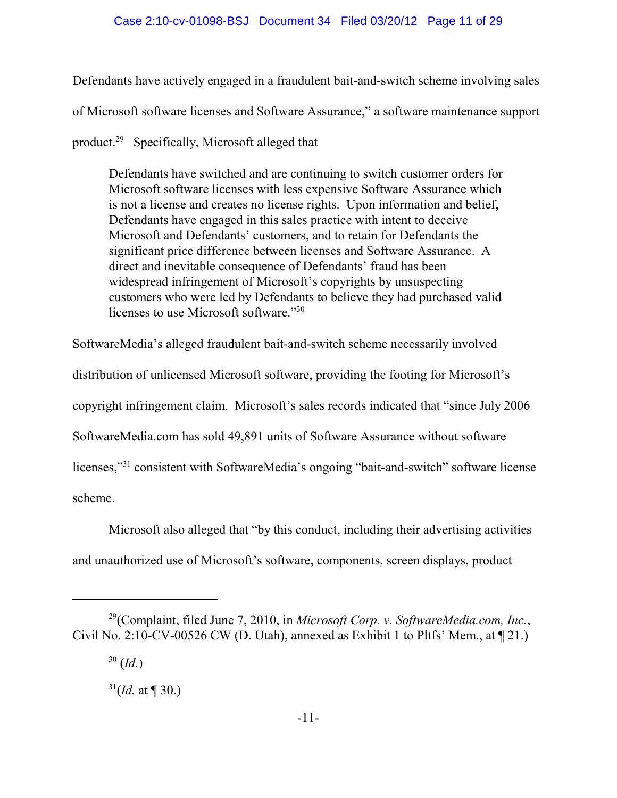Defendants have actively engaged in a fraudulent bait-and-switch scheme involving sales of Microsoft software licenses and Software Assurance," a software maintenance support product.<sup>29</sup> Specifically, Microsoft alleged that

Defendants have switched and are continuing to switch customer orders for Microsoft software licenses with less expensive Software Assurance which is not a license and creates no license rights. Upon information and belief, Defendants have engaged in this sales practice with intent to deceive Microsoft and Defendants' customers, and to retain for Defendants the significant price difference between licenses and Software Assurance. A direct and inevitable consequence of Defendants' fraud has been widespread infringement of Microsoft's copyrights by unsuspecting customers who were led by Defendants to believe they had purchased valid licenses to use Microsoft software."<sup>30</sup>

SoftwareMedia's alleged fraudulent bait-and-switch scheme necessarily involved distribution of unlicensed Microsoft software, providing the footing for Microsoft's

copyright infringement claim. Microsoft's sales records indicated that "since July 2006

SoftwareMedia.com has sold 49,891 units of Software Assurance without software

licenses,"<sup>31</sup> consistent with SoftwareMedia's ongoing "bait-and-switch" software license

scheme.

Microsoft also alleged that "by this conduct, including their advertising activities and unauthorized use of Microsoft's software, components, screen displays, product

<sup>&</sup>lt;sup>29</sup>(Complaint, filed June 7, 2010, in *Microsoft Corp. v. SoftwareMedia.com, Inc.*, Civil No. 2:10-CV-00526 CW (D. Utah), annexed as Exhibit 1 to Pltfs' Mem., at  $\P$  21.)

 <sup>(</sup>*Id.*) 30

 $^{31}$ (*Id.* at ¶ 30.)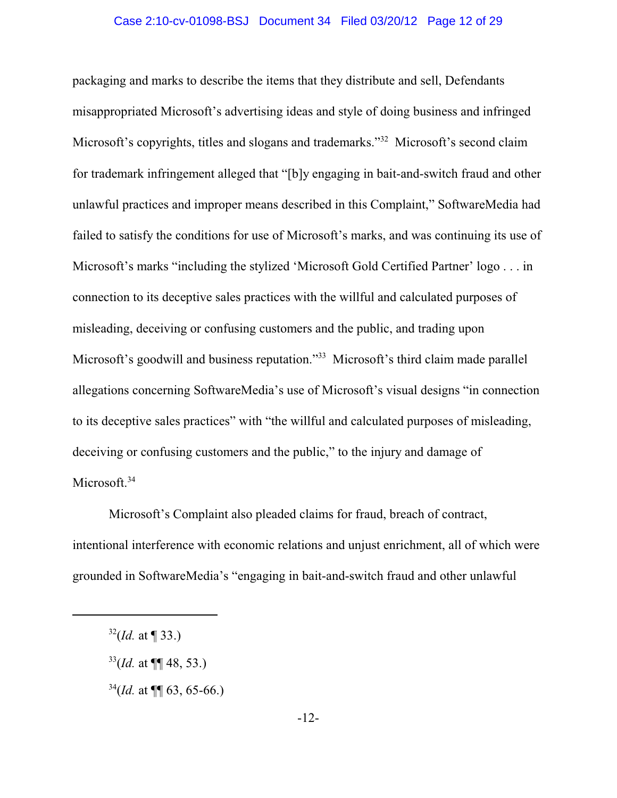#### Case 2:10-cv-01098-BSJ Document 34 Filed 03/20/12 Page 12 of 29

packaging and marks to describe the items that they distribute and sell, Defendants misappropriated Microsoft's advertising ideas and style of doing business and infringed Microsoft's copyrights, titles and slogans and trademarks."<sup>32</sup> Microsoft's second claim for trademark infringement alleged that "[b]y engaging in bait-and-switch fraud and other unlawful practices and improper means described in this Complaint," SoftwareMedia had failed to satisfy the conditions for use of Microsoft's marks, and was continuing its use of Microsoft's marks "including the stylized 'Microsoft Gold Certified Partner' logo . . . in connection to its deceptive sales practices with the willful and calculated purposes of misleading, deceiving or confusing customers and the public, and trading upon Microsoft's goodwill and business reputation."<sup>33</sup> Microsoft's third claim made parallel allegations concerning SoftwareMedia's use of Microsoft's visual designs "in connection to its deceptive sales practices" with "the willful and calculated purposes of misleading, deceiving or confusing customers and the public," to the injury and damage of Microsoft.<sup>34</sup>

Microsoft's Complaint also pleaded claims for fraud, breach of contract, intentional interference with economic relations and unjust enrichment, all of which were grounded in SoftwareMedia's "engaging in bait-and-switch fraud and other unlawful

- $^{33}$ (*Id.* at ¶¶ 48, 53.)
- $^{34}$ (*Id.* at ¶ 63, 65-66.)

 $^{32}$ (*Id.* at ¶ 33.)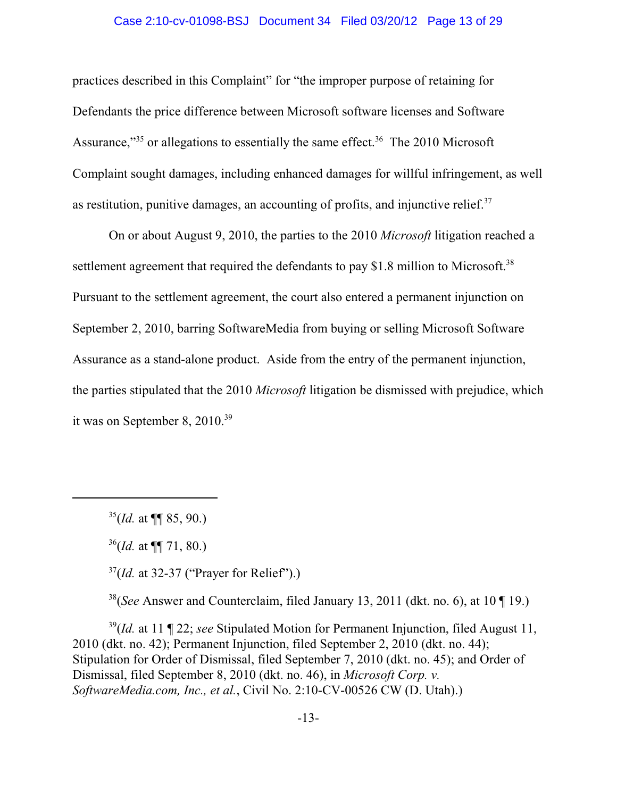#### Case 2:10-cv-01098-BSJ Document 34 Filed 03/20/12 Page 13 of 29

practices described in this Complaint" for "the improper purpose of retaining for Defendants the price difference between Microsoft software licenses and Software Assurance," $35$  or allegations to essentially the same effect. $36$  The 2010 Microsoft Complaint sought damages, including enhanced damages for willful infringement, as well as restitution, punitive damages, an accounting of profits, and injunctive relief. $37$ 

On or about August 9, 2010, the parties to the 2010 *Microsoft* litigation reached a settlement agreement that required the defendants to pay \$1.8 million to Microsoft.<sup>38</sup> Pursuant to the settlement agreement, the court also entered a permanent injunction on September 2, 2010, barring SoftwareMedia from buying or selling Microsoft Software Assurance as a stand-alone product. Aside from the entry of the permanent injunction, the parties stipulated that the 2010 *Microsoft* litigation be dismissed with prejudice, which it was on September 8,  $2010^{39}$ 

 $^{35}$ (*Id.* at **¶** 85, 90.)

 $^{37}$ (*Id.* at 32-37 ("Prayer for Relief").)

<sup>38</sup>(*See* Answer and Counterclaim, filed January 13, 2011 (dkt. no. 6), at 10  $\P$  19.)

<sup>39</sup>(*Id.* at 11 ¶ 22; *see* Stipulated Motion for Permanent Injunction, filed August 11, 2010 (dkt. no. 42); Permanent Injunction, filed September 2, 2010 (dkt. no. 44); Stipulation for Order of Dismissal, filed September 7, 2010 (dkt. no. 45); and Order of Dismissal, filed September 8, 2010 (dkt. no. 46), in *Microsoft Corp. v. SoftwareMedia.com, Inc., et al.*, Civil No. 2:10-CV-00526 CW (D. Utah).)

 $^{36}$ (*Id.* at ¶¶ 71, 80.)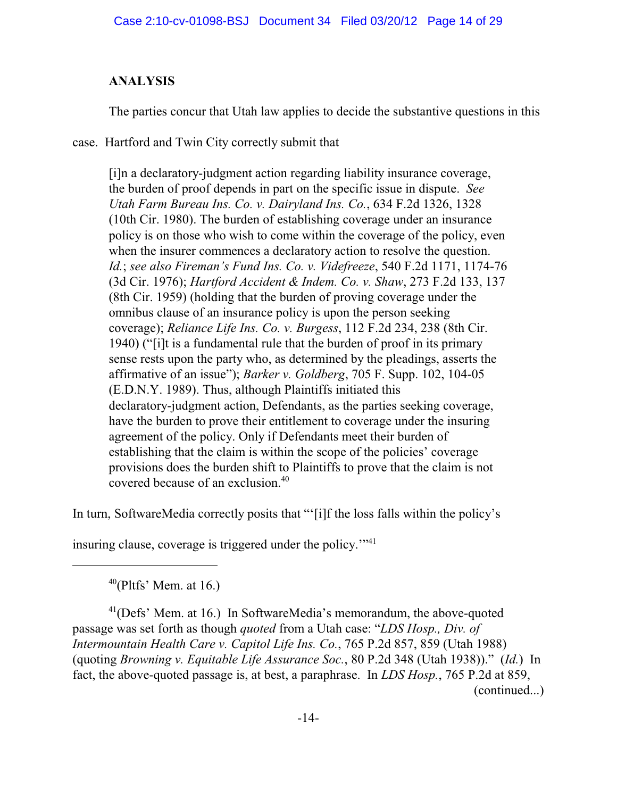# **ANALYSIS**

The parties concur that Utah law applies to decide the substantive questions in this

case. Hartford and Twin City correctly submit that

[i]n a declaratory-judgment action regarding liability insurance coverage, the burden of proof depends in part on the specific issue in dispute. *See Utah Farm Bureau Ins. Co. v. Dairyland Ins. Co.*, 634 F.2d 1326, 1328 (10th Cir. 1980). The burden of establishing coverage under an insurance policy is on those who wish to come within the coverage of the policy, even when the insurer commences a declaratory action to resolve the question. *Id.*; *see also Fireman's Fund Ins. Co. v. Videfreeze*, 540 F.2d 1171, 1174-76 (3d Cir. 1976); *Hartford Accident & Indem. Co. v. Shaw*, 273 F.2d 133, 137 (8th Cir. 1959) (holding that the burden of proving coverage under the omnibus clause of an insurance policy is upon the person seeking coverage); *Reliance Life Ins. Co. v. Burgess*, 112 F.2d 234, 238 (8th Cir. 1940) ("[i]t is a fundamental rule that the burden of proof in its primary sense rests upon the party who, as determined by the pleadings, asserts the affirmative of an issue"); *Barker v. Goldberg*, 705 F. Supp. 102, 104-05 (E.D.N.Y. 1989). Thus, although Plaintiffs initiated this declaratory-judgment action, Defendants, as the parties seeking coverage, have the burden to prove their entitlement to coverage under the insuring agreement of the policy. Only if Defendants meet their burden of establishing that the claim is within the scope of the policies' coverage provisions does the burden shift to Plaintiffs to prove that the claim is not covered because of an exclusion.<sup>40</sup>

In turn, SoftwareMedia correctly posits that "'[i]f the loss falls within the policy's

insuring clause, coverage is triggered under the policy."<sup>41</sup>

 $40$ (Pltfs' Mem. at 16.)

 $^{41}$ (Defs' Mem. at 16.) In SoftwareMedia's memorandum, the above-quoted passage was set forth as though *quoted* from a Utah case: "*LDS Hosp., Div. of Intermountain Health Care v. Capitol Life Ins. Co.*, 765 P.2d 857, 859 (Utah 1988) (quoting *Browning v. Equitable Life Assurance Soc.*, 80 P.2d 348 (Utah 1938))." (*Id.*) In fact, the above-quoted passage is, at best, a paraphrase. In *LDS Hosp.*, 765 P.2d at 859, (continued...)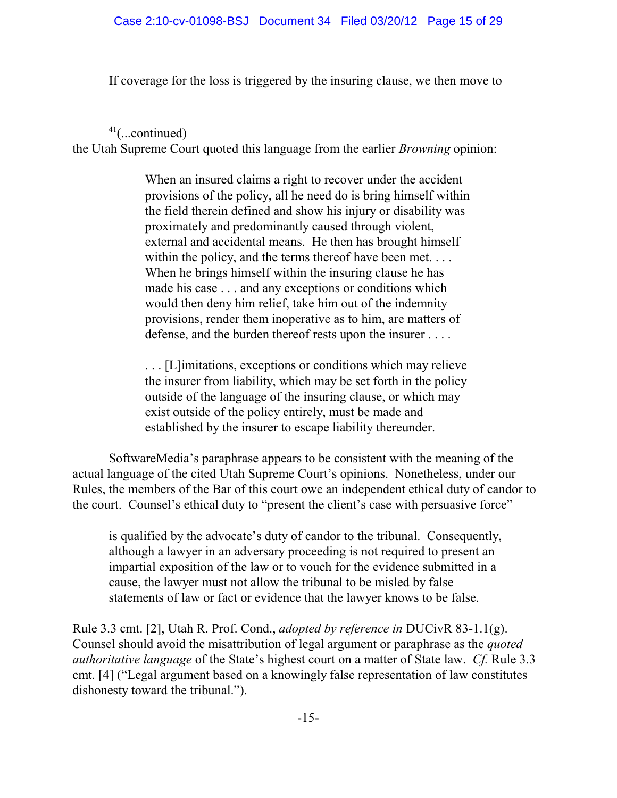If coverage for the loss is triggered by the insuring clause, we then move to

 $41$ (...continued)

the Utah Supreme Court quoted this language from the earlier *Browning* opinion:

When an insured claims a right to recover under the accident provisions of the policy, all he need do is bring himself within the field therein defined and show his injury or disability was proximately and predominantly caused through violent, external and accidental means. He then has brought himself within the policy, and the terms thereof have been met.... When he brings himself within the insuring clause he has made his case . . . and any exceptions or conditions which would then deny him relief, take him out of the indemnity provisions, render them inoperative as to him, are matters of defense, and the burden thereof rests upon the insurer . . . .

. . . [L]imitations, exceptions or conditions which may relieve the insurer from liability, which may be set forth in the policy outside of the language of the insuring clause, or which may exist outside of the policy entirely, must be made and established by the insurer to escape liability thereunder.

SoftwareMedia's paraphrase appears to be consistent with the meaning of the actual language of the cited Utah Supreme Court's opinions. Nonetheless, under our Rules, the members of the Bar of this court owe an independent ethical duty of candor to the court. Counsel's ethical duty to "present the client's case with persuasive force"

is qualified by the advocate's duty of candor to the tribunal. Consequently, although a lawyer in an adversary proceeding is not required to present an impartial exposition of the law or to vouch for the evidence submitted in a cause, the lawyer must not allow the tribunal to be misled by false statements of law or fact or evidence that the lawyer knows to be false.

Rule 3.3 cmt. [2], Utah R. Prof. Cond., *adopted by reference in* DUCivR 83-1.1(g). Counsel should avoid the misattribution of legal argument or paraphrase as the *quoted authoritative language* of the State's highest court on a matter of State law. *Cf.* Rule 3.3 cmt. [4] ("Legal argument based on a knowingly false representation of law constitutes dishonesty toward the tribunal.").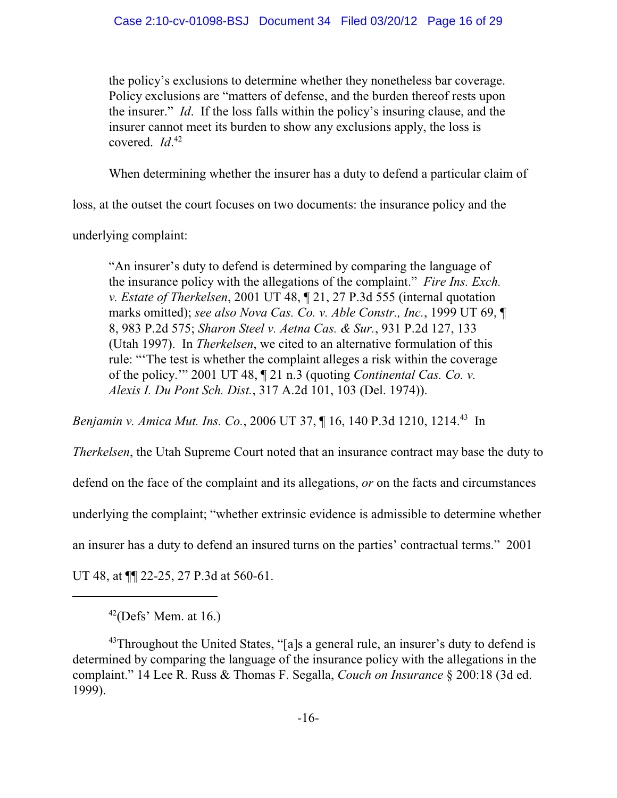the policy's exclusions to determine whether they nonetheless bar coverage. Policy exclusions are "matters of defense, and the burden thereof rests upon the insurer." *Id*. If the loss falls within the policy's insuring clause, and the insurer cannot meet its burden to show any exclusions apply, the loss is covered. *Id*. 42

When determining whether the insurer has a duty to defend a particular claim of

loss, at the outset the court focuses on two documents: the insurance policy and the

underlying complaint:

"An insurer's duty to defend is determined by comparing the language of the insurance policy with the allegations of the complaint." *Fire Ins. Exch. v. Estate of Therkelsen*, 2001 UT 48, ¶ 21, 27 P.3d 555 (internal quotation marks omitted); *see also Nova Cas. Co. v. Able Constr., Inc.*, 1999 UT 69, ¶ 8, 983 P.2d 575; *Sharon Steel v. Aetna Cas. & Sur.*, 931 P.2d 127, 133 (Utah 1997). In *Therkelsen*, we cited to an alternative formulation of this rule: "'The test is whether the complaint alleges a risk within the coverage of the policy.'" 2001 UT 48, ¶ 21 n.3 (quoting *Continental Cas. Co. v. Alexis I. Du Pont Sch. Dist.*, 317 A.2d 101, 103 (Del. 1974)).

*Benjamin v. Amica Mut. Ins. Co.*, 2006 UT 37, ¶ 16, 140 P.3d 1210, 1214.<sup>43</sup> In

*Therkelsen*, the Utah Supreme Court noted that an insurance contract may base the duty to

defend on the face of the complaint and its allegations, *or* on the facts and circumstances

underlying the complaint; "whether extrinsic evidence is admissible to determine whether

an insurer has a duty to defend an insured turns on the parties' contractual terms." 2001

UT 48, at  $\P$  22-25, 27 P.3d at 560-61.

 $42$ (Defs' Mem. at 16.)

 $43$ Throughout the United States, "[a]s a general rule, an insurer's duty to defend is determined by comparing the language of the insurance policy with the allegations in the complaint." 14 Lee R. Russ & Thomas F. Segalla, *Couch on Insurance* § 200:18 (3d ed. 1999).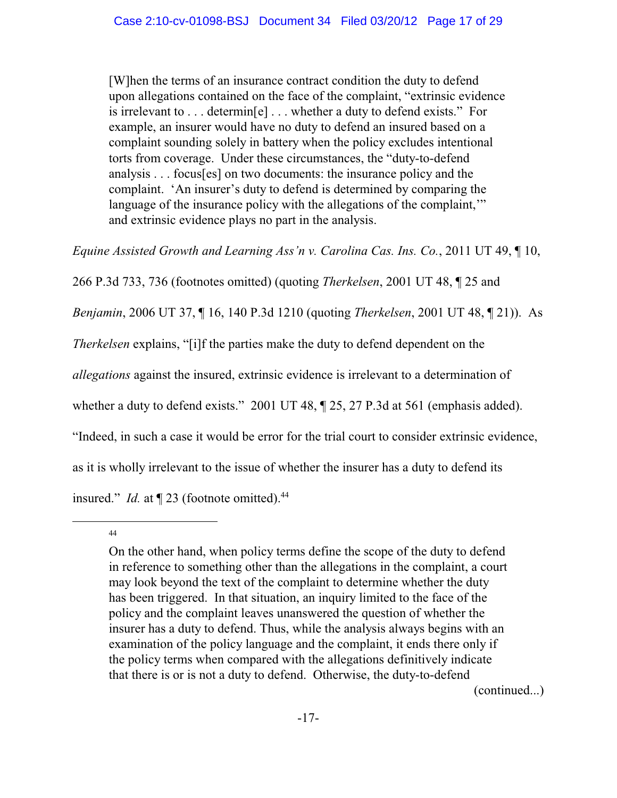[W]hen the terms of an insurance contract condition the duty to defend upon allegations contained on the face of the complaint, "extrinsic evidence is irrelevant to . . . determin[e] . . . whether a duty to defend exists." For example, an insurer would have no duty to defend an insured based on a complaint sounding solely in battery when the policy excludes intentional torts from coverage. Under these circumstances, the "duty-to-defend analysis . . . focus[es] on two documents: the insurance policy and the complaint. 'An insurer's duty to defend is determined by comparing the language of the insurance policy with the allegations of the complaint," and extrinsic evidence plays no part in the analysis.

*Equine Assisted Growth and Learning Ass'n v. Carolina Cas. Ins. Co.*, 2011 UT 49, ¶ 10,

266 P.3d 733, 736 (footnotes omitted) (quoting *Therkelsen*, 2001 UT 48, ¶ 25 and

*Benjamin*, 2006 UT 37, ¶ 16, 140 P.3d 1210 (quoting *Therkelsen*, 2001 UT 48, ¶ 21)). As

*Therkelsen* explains, "[i]f the parties make the duty to defend dependent on the

*allegations* against the insured, extrinsic evidence is irrelevant to a determination of

whether a duty to defend exists." 2001 UT 48,  $\P$  25, 27 P.3d at 561 (emphasis added).

"Indeed, in such a case it would be error for the trial court to consider extrinsic evidence,

as it is wholly irrelevant to the issue of whether the insurer has a duty to defend its

insured." *Id.* at  $\P$  23 (footnote omitted).<sup>44</sup>

44

On the other hand, when policy terms define the scope of the duty to defend in reference to something other than the allegations in the complaint, a court may look beyond the text of the complaint to determine whether the duty has been triggered. In that situation, an inquiry limited to the face of the policy and the complaint leaves unanswered the question of whether the insurer has a duty to defend. Thus, while the analysis always begins with an examination of the policy language and the complaint, it ends there only if the policy terms when compared with the allegations definitively indicate that there is or is not a duty to defend. Otherwise, the duty-to-defend

(continued...)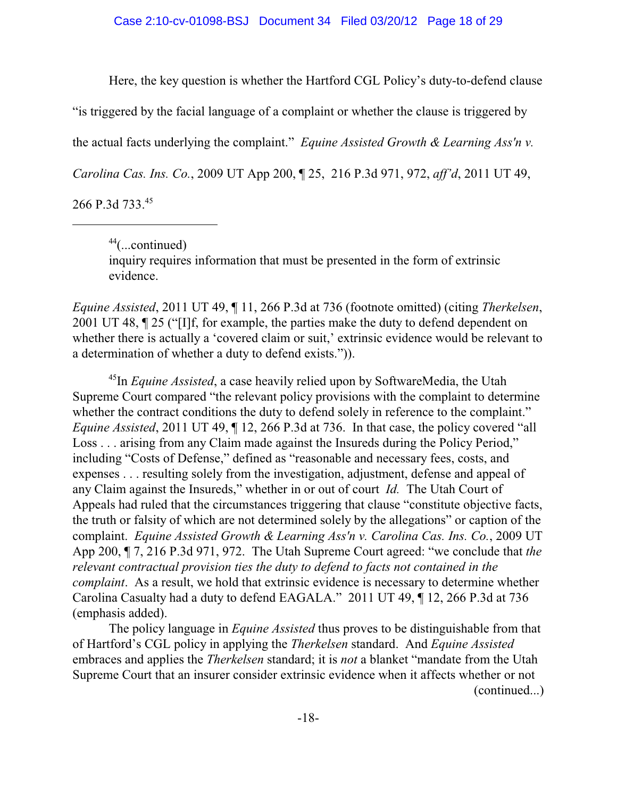Here, the key question is whether the Hartford CGL Policy's duty-to-defend clause

"is triggered by the facial language of a complaint or whether the clause is triggered by

the actual facts underlying the complaint." *Equine Assisted Growth & Learning Ass'n v.*

*Carolina Cas. Ins. Co.*, 2009 UT App 200, ¶ 25, 216 P.3d 971, 972, *aff'd*, 2011 UT 49,

266 P.3d 733.45

 $44$ (...continued) inquiry requires information that must be presented in the form of extrinsic evidence.

*Equine Assisted*, 2011 UT 49, ¶ 11, 266 P.3d at 736 (footnote omitted) (citing *Therkelsen*, 2001 UT 48, ¶ 25 ("[I]f, for example, the parties make the duty to defend dependent on whether there is actually a 'covered claim or suit,' extrinsic evidence would be relevant to a determination of whether a duty to defend exists.")).

<sup>45</sup>In *Equine Assisted*, a case heavily relied upon by SoftwareMedia, the Utah Supreme Court compared "the relevant policy provisions with the complaint to determine whether the contract conditions the duty to defend solely in reference to the complaint." *Equine Assisted*, 2011 UT 49, ¶ 12, 266 P.3d at 736. In that case, the policy covered "all Loss . . . arising from any Claim made against the Insureds during the Policy Period," including "Costs of Defense," defined as "reasonable and necessary fees, costs, and expenses . . . resulting solely from the investigation, adjustment, defense and appeal of any Claim against the Insureds," whether in or out of court *Id.* The Utah Court of Appeals had ruled that the circumstances triggering that clause "constitute objective facts, the truth or falsity of which are not determined solely by the allegations" or caption of the complaint. *Equine Assisted Growth & Learning Ass'n v. Carolina Cas. Ins. Co.*, 2009 UT App 200, ¶ 7, 216 P.3d 971, 972. The Utah Supreme Court agreed: "we conclude that *the relevant contractual provision ties the duty to defend to facts not contained in the complaint*. As a result, we hold that extrinsic evidence is necessary to determine whether Carolina Casualty had a duty to defend EAGALA." 2011 UT 49, ¶ 12, 266 P.3d at 736 (emphasis added).

The policy language in *Equine Assisted* thus proves to be distinguishable from that of Hartford's CGL policy in applying the *Therkelsen* standard. And *Equine Assisted* embraces and applies the *Therkelsen* standard; it is *not* a blanket "mandate from the Utah Supreme Court that an insurer consider extrinsic evidence when it affects whether or not (continued...)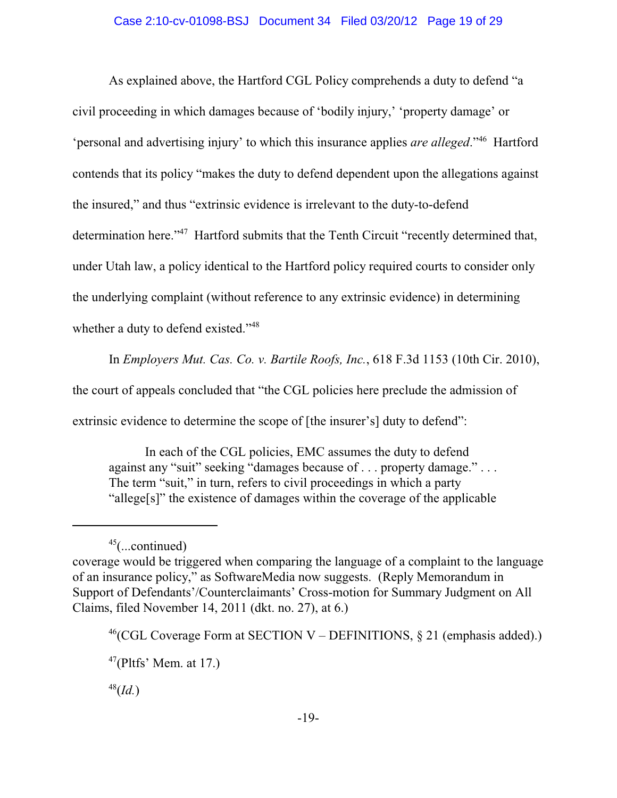#### Case 2:10-cv-01098-BSJ Document 34 Filed 03/20/12 Page 19 of 29

As explained above, the Hartford CGL Policy comprehends a duty to defend "a civil proceeding in which damages because of 'bodily injury,' 'property damage' or 'personal and advertising injury' to which this insurance applies *are alleged*."<sup>46</sup> Hartford contends that its policy "makes the duty to defend dependent upon the allegations against the insured," and thus "extrinsic evidence is irrelevant to the duty-to-defend determination here."<sup>47</sup> Hartford submits that the Tenth Circuit "recently determined that, under Utah law, a policy identical to the Hartford policy required courts to consider only the underlying complaint (without reference to any extrinsic evidence) in determining whether a duty to defend existed."<sup>48</sup>

In *Employers Mut. Cas. Co. v. Bartile Roofs, Inc.*, 618 F.3d 1153 (10th Cir. 2010), the court of appeals concluded that "the CGL policies here preclude the admission of extrinsic evidence to determine the scope of [the insurer's] duty to defend":

In each of the CGL policies, EMC assumes the duty to defend against any "suit" seeking "damages because of . . . property damage." . . . The term "suit," in turn, refers to civil proceedings in which a party "allege[s]" the existence of damages within the coverage of the applicable

 $45$ (...continued) coverage would be triggered when comparing the language of a complaint to the language of an insurance policy," as SoftwareMedia now suggests. (Reply Memorandum in Support of Defendants'/Counterclaimants' Cross-motion for Summary Judgment on All Claims, filed November 14, 2011 (dkt. no. 27), at 6.)

<sup>&</sup>lt;sup>46</sup>(CGL Coverage Form at SECTION V – DEFINITIONS, § 21 (emphasis added).)

 $47$ (Pltfs' Mem. at 17.)

<sup>(</sup>*Id.*) 48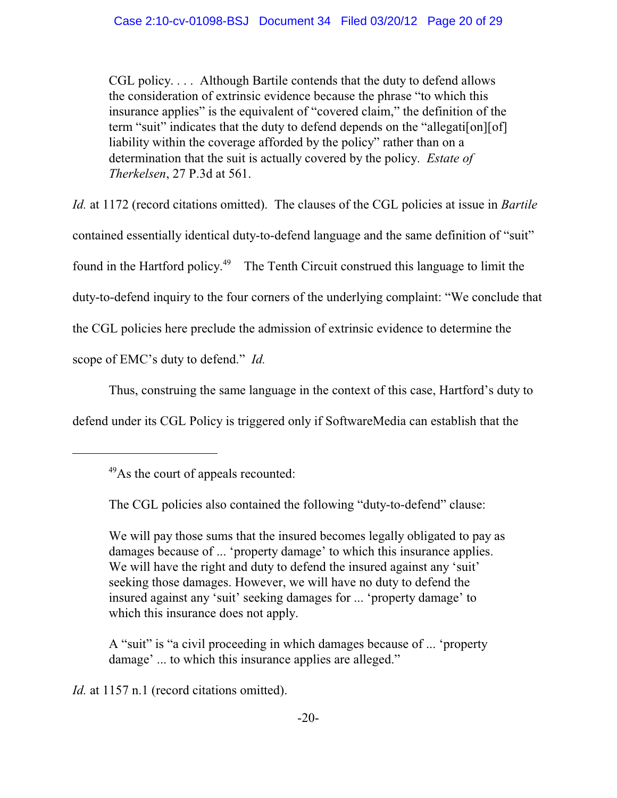CGL policy. . . . Although Bartile contends that the duty to defend allows the consideration of extrinsic evidence because the phrase "to which this insurance applies" is the equivalent of "covered claim," the definition of the term "suit" indicates that the duty to defend depends on the "allegati[on][of] liability within the coverage afforded by the policy" rather than on a determination that the suit is actually covered by the policy. *Estate of Therkelsen*, 27 P.3d at 561.

*Id.* at 1172 (record citations omitted). The clauses of the CGL policies at issue in *Bartile* contained essentially identical duty-to-defend language and the same definition of "suit" found in the Hartford policy.<sup> $49$ </sup> The Tenth Circuit construed this language to limit the duty-to-defend inquiry to the four corners of the underlying complaint: "We conclude that the CGL policies here preclude the admission of extrinsic evidence to determine the scope of EMC's duty to defend." *Id.*

Thus, construing the same language in the context of this case, Hartford's duty to defend under its CGL Policy is triggered only if SoftwareMedia can establish that the

We will pay those sums that the insured becomes legally obligated to pay as damages because of ... 'property damage' to which this insurance applies. We will have the right and duty to defend the insured against any 'suit' seeking those damages. However, we will have no duty to defend the insured against any 'suit' seeking damages for ... 'property damage' to which this insurance does not apply.

A "suit" is "a civil proceeding in which damages because of ... 'property damage' ... to which this insurance applies are alleged."

*Id.* at 1157 n.1 (record citations omitted).

As the court of appeals recounted: <sup>49</sup>

The CGL policies also contained the following "duty-to-defend" clause: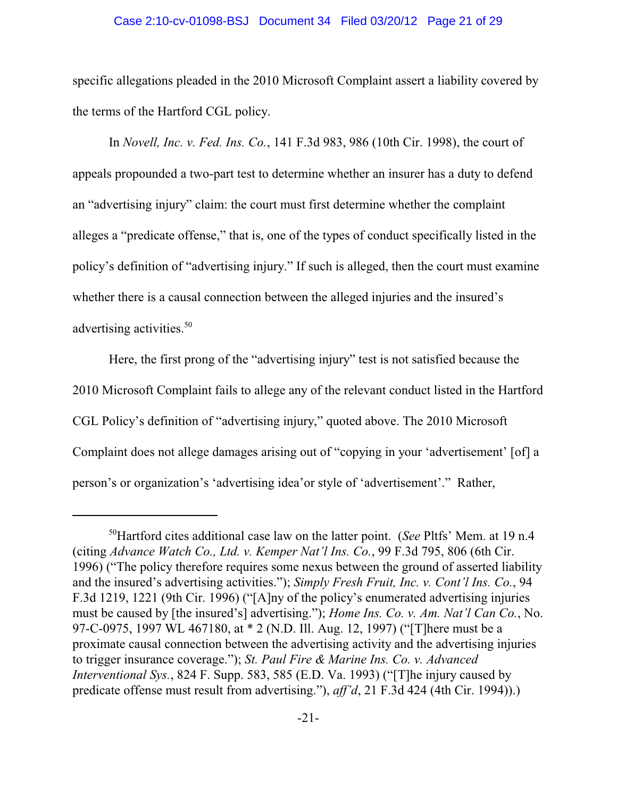#### Case 2:10-cv-01098-BSJ Document 34 Filed 03/20/12 Page 21 of 29

specific allegations pleaded in the 2010 Microsoft Complaint assert a liability covered by the terms of the Hartford CGL policy.

In *Novell, Inc. v. Fed. Ins. Co.*, 141 F.3d 983, 986 (10th Cir. 1998), the court of appeals propounded a two-part test to determine whether an insurer has a duty to defend an "advertising injury" claim: the court must first determine whether the complaint alleges a "predicate offense," that is, one of the types of conduct specifically listed in the policy's definition of "advertising injury." If such is alleged, then the court must examine whether there is a causal connection between the alleged injuries and the insured's advertising activities.<sup>50</sup>

Here, the first prong of the "advertising injury" test is not satisfied because the 2010 Microsoft Complaint fails to allege any of the relevant conduct listed in the Hartford CGL Policy's definition of "advertising injury," quoted above. The 2010 Microsoft Complaint does not allege damages arising out of "copying in your 'advertisement' [of] a person's or organization's 'advertising idea'or style of 'advertisement'." Rather,

<sup>&</sup>lt;sup>50</sup>Hartford cites additional case law on the latter point. (*See* Pltfs' Mem. at 19 n.4 (citing *Advance Watch Co., Ltd. v. Kemper Nat'l Ins. Co.*, 99 F.3d 795, 806 (6th Cir. 1996) ("The policy therefore requires some nexus between the ground of asserted liability and the insured's advertising activities."); *Simply Fresh Fruit, Inc. v. Cont'l Ins. Co.*, 94 F.3d 1219, 1221 (9th Cir. 1996) ("[A]ny of the policy's enumerated advertising injuries must be caused by [the insured's] advertising."); *Home Ins. Co. v. Am. Nat'l Can Co.*, No. 97-C-0975, 1997 WL 467180, at \* 2 (N.D. Ill. Aug. 12, 1997) ("[T]here must be a proximate causal connection between the advertising activity and the advertising injuries to trigger insurance coverage."); *St. Paul Fire & Marine Ins. Co. v. Advanced Interventional Sys.*, 824 F. Supp. 583, 585 (E.D. Va. 1993) ("[T]he injury caused by predicate offense must result from advertising."), *aff'd*, 21 F.3d 424 (4th Cir. 1994)).)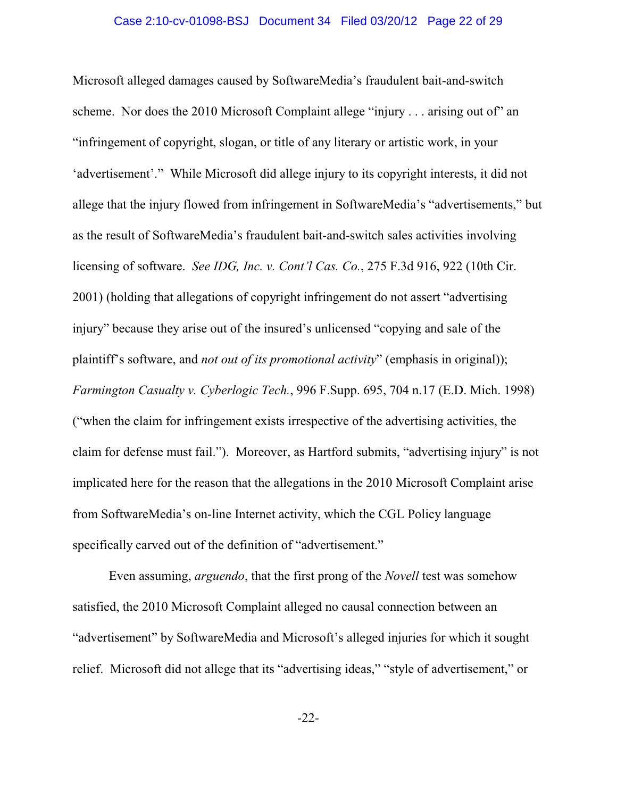#### Case 2:10-cv-01098-BSJ Document 34 Filed 03/20/12 Page 22 of 29

Microsoft alleged damages caused by SoftwareMedia's fraudulent bait-and-switch scheme. Nor does the 2010 Microsoft Complaint allege "injury . . . arising out of" an "infringement of copyright, slogan, or title of any literary or artistic work, in your 'advertisement'." While Microsoft did allege injury to its copyright interests, it did not allege that the injury flowed from infringement in SoftwareMedia's "advertisements," but as the result of SoftwareMedia's fraudulent bait-and-switch sales activities involving licensing of software. *See IDG, Inc. v. Cont'l Cas. Co.*, 275 F.3d 916, 922 (10th Cir. 2001) (holding that allegations of copyright infringement do not assert "advertising injury" because they arise out of the insured's unlicensed "copying and sale of the plaintiff's software, and *not out of its promotional activity*" (emphasis in original)); *Farmington Casualty v. Cyberlogic Tech.*, 996 F.Supp. 695, 704 n.17 (E.D. Mich. 1998) ("when the claim for infringement exists irrespective of the advertising activities, the claim for defense must fail."). Moreover, as Hartford submits, "advertising injury" is not implicated here for the reason that the allegations in the 2010 Microsoft Complaint arise from SoftwareMedia's on-line Internet activity, which the CGL Policy language specifically carved out of the definition of "advertisement."

Even assuming, *arguendo*, that the first prong of the *Novell* test was somehow satisfied, the 2010 Microsoft Complaint alleged no causal connection between an "advertisement" by SoftwareMedia and Microsoft's alleged injuries for which it sought relief. Microsoft did not allege that its "advertising ideas," "style of advertisement," or

-22-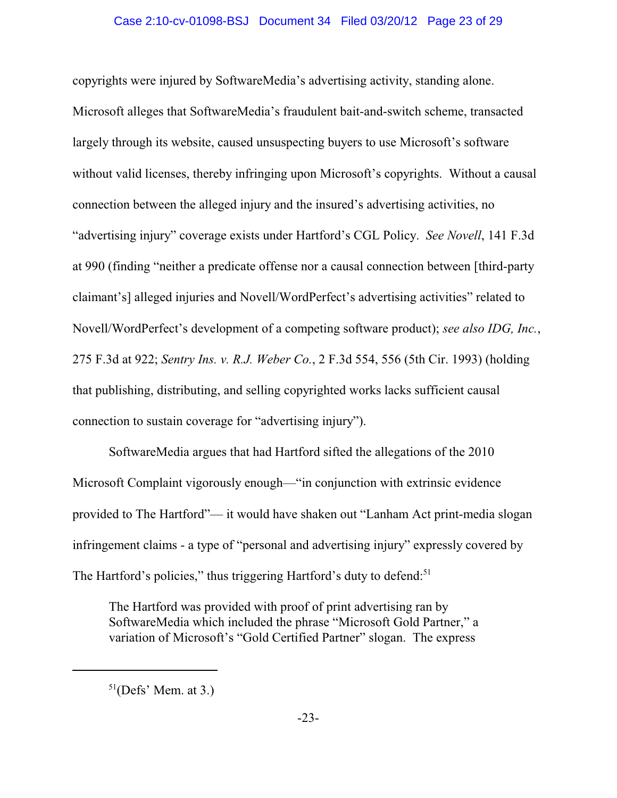# Case 2:10-cv-01098-BSJ Document 34 Filed 03/20/12 Page 23 of 29

copyrights were injured by SoftwareMedia's advertising activity, standing alone. Microsoft alleges that SoftwareMedia's fraudulent bait-and-switch scheme, transacted largely through its website, caused unsuspecting buyers to use Microsoft's software without valid licenses, thereby infringing upon Microsoft's copyrights. Without a causal connection between the alleged injury and the insured's advertising activities, no "advertising injury" coverage exists under Hartford's CGL Policy. *See Novell*, 141 F.3d at 990 (finding "neither a predicate offense nor a causal connection between [third-party claimant's] alleged injuries and Novell/WordPerfect's advertising activities" related to Novell/WordPerfect's development of a competing software product); *see also IDG, Inc.*, 275 F.3d at 922; *Sentry Ins. v. R.J. Weber Co.*, 2 F.3d 554, 556 (5th Cir. 1993) (holding that publishing, distributing, and selling copyrighted works lacks sufficient causal connection to sustain coverage for "advertising injury").

SoftwareMedia argues that had Hartford sifted the allegations of the 2010 Microsoft Complaint vigorously enough—"in conjunction with extrinsic evidence provided to The Hartford"— it would have shaken out "Lanham Act print-media slogan infringement claims - a type of "personal and advertising injury" expressly covered by The Hartford's policies," thus triggering Hartford's duty to defend:<sup>51</sup>

The Hartford was provided with proof of print advertising ran by SoftwareMedia which included the phrase "Microsoft Gold Partner," a variation of Microsoft's "Gold Certified Partner" slogan. The express

 $51$ (Defs' Mem. at 3.)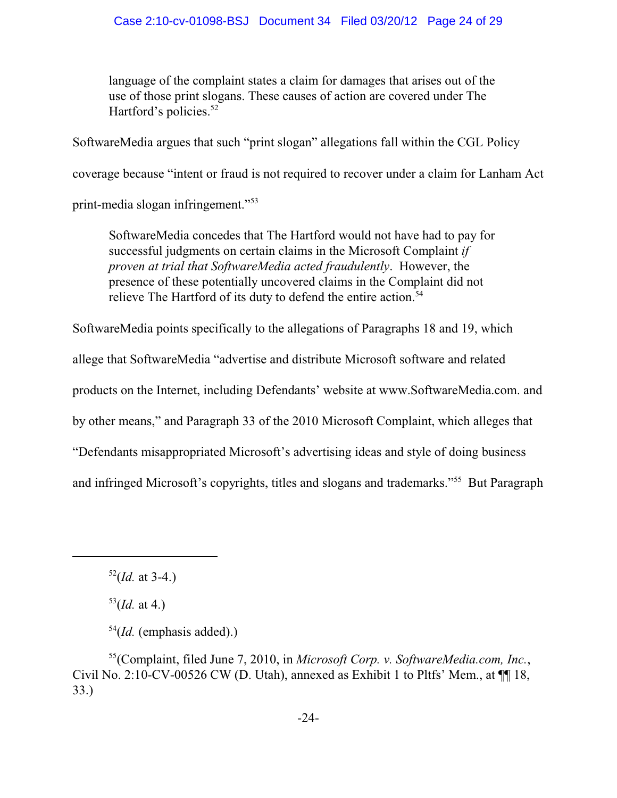language of the complaint states a claim for damages that arises out of the use of those print slogans. These causes of action are covered under The Hartford's policies. $52$ 

SoftwareMedia argues that such "print slogan" allegations fall within the CGL Policy

coverage because "intent or fraud is not required to recover under a claim for Lanham Act

print-media slogan infringement."<sup>53</sup>

SoftwareMedia concedes that The Hartford would not have had to pay for successful judgments on certain claims in the Microsoft Complaint *if proven at trial that SoftwareMedia acted fraudulently*. However, the presence of these potentially uncovered claims in the Complaint did not relieve The Hartford of its duty to defend the entire action.<sup>54</sup>

SoftwareMedia points specifically to the allegations of Paragraphs 18 and 19, which

allege that SoftwareMedia "advertise and distribute Microsoft software and related

products on the Internet, including Defendants' website at www.SoftwareMedia.com. and

by other means," and Paragraph 33 of the 2010 Microsoft Complaint, which alleges that

"Defendants misappropriated Microsoft's advertising ideas and style of doing business

and infringed Microsoft's copyrights, titles and slogans and trademarks."<sup>55</sup> But Paragraph

 $53$ (*Id.* at 4.)

 $52$ (*Id.* at 3-4.)

 $54$ (*Id.* (emphasis added).)

<sup>&</sup>lt;sup>55</sup>(Complaint, filed June 7, 2010, in Microsoft Corp. v. SoftwareMedia.com, Inc., Civil No. 2:10-CV-00526 CW (D. Utah), annexed as Exhibit 1 to Pltfs' Mem., at ¶¶ 18, 33.)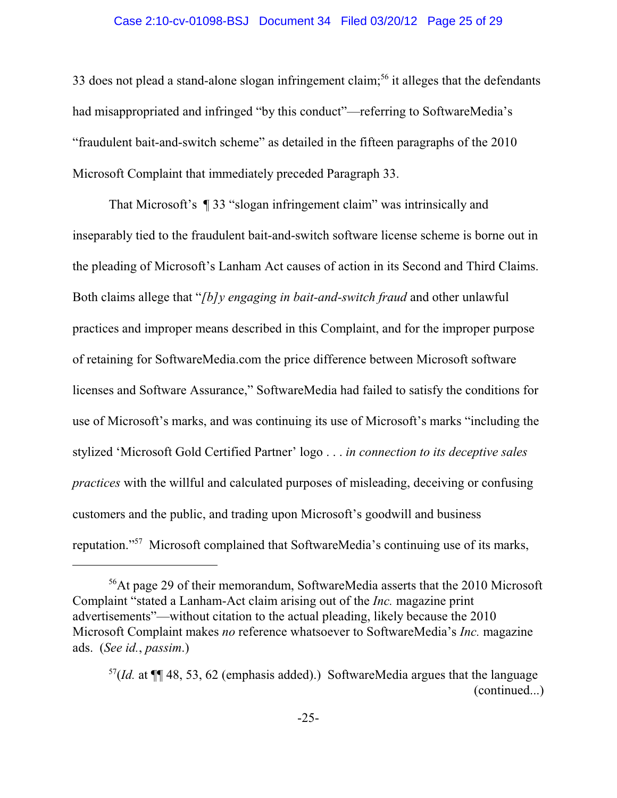#### Case 2:10-cv-01098-BSJ Document 34 Filed 03/20/12 Page 25 of 29

33 does not plead a stand-alone slogan infringement claim;<sup>56</sup> it alleges that the defendants had misappropriated and infringed "by this conduct"—referring to SoftwareMedia's "fraudulent bait-and-switch scheme" as detailed in the fifteen paragraphs of the 2010 Microsoft Complaint that immediately preceded Paragraph 33.

That Microsoft's ¶ 33 "slogan infringement claim" was intrinsically and inseparably tied to the fraudulent bait-and-switch software license scheme is borne out in the pleading of Microsoft's Lanham Act causes of action in its Second and Third Claims. Both claims allege that "*[b]y engaging in bait-and-switch fraud* and other unlawful practices and improper means described in this Complaint, and for the improper purpose of retaining for SoftwareMedia.com the price difference between Microsoft software licenses and Software Assurance," SoftwareMedia had failed to satisfy the conditions for use of Microsoft's marks, and was continuing its use of Microsoft's marks "including the stylized 'Microsoft Gold Certified Partner' logo . . . *in connection to its deceptive sales practices* with the willful and calculated purposes of misleading, deceiving or confusing customers and the public, and trading upon Microsoft's goodwill and business reputation."<sup>57</sup> Microsoft complained that SoftwareMedia's continuing use of its marks,

<sup>&</sup>lt;sup>56</sup>At page 29 of their memorandum, SoftwareMedia asserts that the 2010 Microsoft Complaint "stated a Lanham-Act claim arising out of the *Inc.* magazine print advertisements"—without citation to the actual pleading, likely because the 2010 Microsoft Complaint makes *no* reference whatsoever to SoftwareMedia's *Inc.* magazine ads. (*See id.*, *passim*.)

 $\frac{57}{Id}$ . at ¶[ 48, 53, 62 (emphasis added).) SoftwareMedia argues that the language (continued...)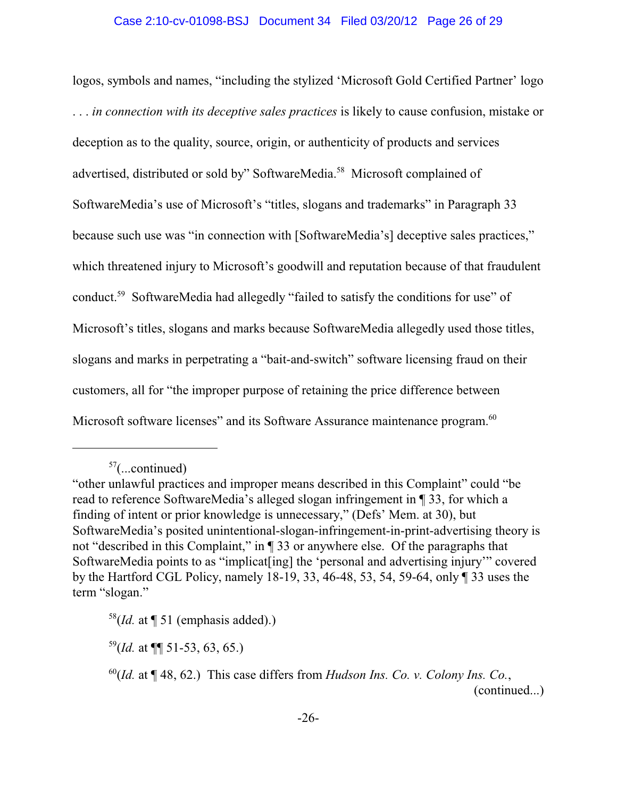logos, symbols and names, "including the stylized 'Microsoft Gold Certified Partner' logo . . . *in connection with its deceptive sales practices* is likely to cause confusion, mistake or deception as to the quality, source, origin, or authenticity of products and services advertised, distributed or sold by" SoftwareMedia.<sup>58</sup> Microsoft complained of SoftwareMedia's use of Microsoft's "titles, slogans and trademarks" in Paragraph 33 because such use was "in connection with [SoftwareMedia's] deceptive sales practices," which threatened injury to Microsoft's goodwill and reputation because of that fraudulent conduct.<sup>59</sup> SoftwareMedia had allegedly "failed to satisfy the conditions for use" of Microsoft's titles, slogans and marks because SoftwareMedia allegedly used those titles, slogans and marks in perpetrating a "bait-and-switch" software licensing fraud on their customers, all for "the improper purpose of retaining the price difference between Microsoft software licenses" and its Software Assurance maintenance program.<sup>60</sup>

 $57$ (...continued)

<sup>&</sup>quot;other unlawful practices and improper means described in this Complaint" could "be read to reference SoftwareMedia's alleged slogan infringement in ¶ 33, for which a finding of intent or prior knowledge is unnecessary," (Defs' Mem. at 30), but SoftwareMedia's posited unintentional-slogan-infringement-in-print-advertising theory is not "described in this Complaint," in ¶ 33 or anywhere else. Of the paragraphs that SoftwareMedia points to as "implicat [ing] the 'personal and advertising injury" covered by the Hartford CGL Policy, namely 18-19, 33, 46-48, 53, 54, 59-64, only ¶ 33 uses the term "slogan."

 $58$ (*Id.* at  $\P$  51 (emphasis added).)

 $^{59}$ (*Id.* at  $\P\P$  51-53, 63, 65.)

 $^{60}$ (*Id.* at  $\P$  48, 62.) This case differs from *Hudson Ins. Co. v. Colony Ins. Co.*, (continued...)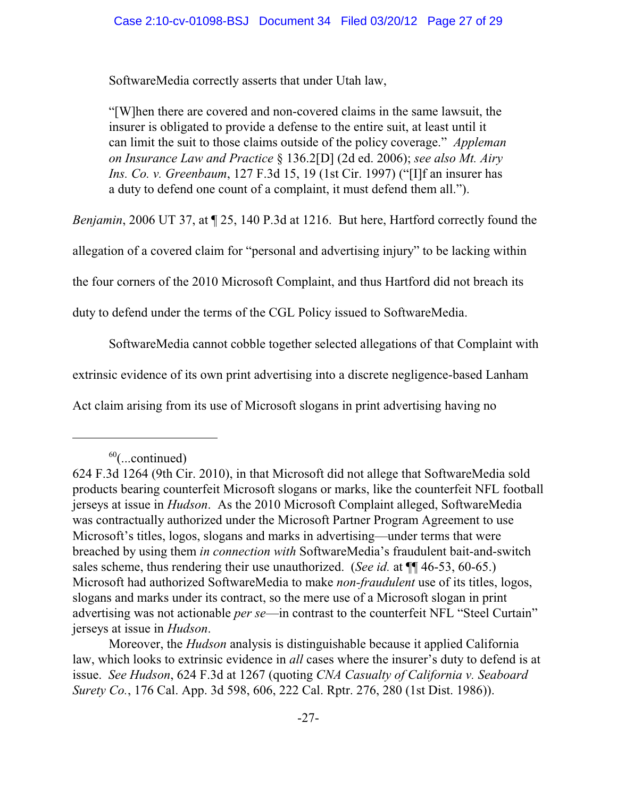SoftwareMedia correctly asserts that under Utah law,

"[W]hen there are covered and non-covered claims in the same lawsuit, the insurer is obligated to provide a defense to the entire suit, at least until it can limit the suit to those claims outside of the policy coverage." *Appleman on Insurance Law and Practice* § 136.2[D] (2d ed. 2006); *see also Mt. Airy Ins. Co. v. Greenbaum*, 127 F.3d 15, 19 (1st Cir. 1997) ("[I]f an insurer has a duty to defend one count of a complaint, it must defend them all.").

*Benjamin*, 2006 UT 37, at ¶ 25, 140 P.3d at 1216. But here, Hartford correctly found the

allegation of a covered claim for "personal and advertising injury" to be lacking within

the four corners of the 2010 Microsoft Complaint, and thus Hartford did not breach its

duty to defend under the terms of the CGL Policy issued to SoftwareMedia.

SoftwareMedia cannot cobble together selected allegations of that Complaint with

extrinsic evidence of its own print advertising into a discrete negligence-based Lanham

Act claim arising from its use of Microsoft slogans in print advertising having no

 $60$ (...continued)

<sup>624</sup> F.3d 1264 (9th Cir. 2010), in that Microsoft did not allege that SoftwareMedia sold products bearing counterfeit Microsoft slogans or marks, like the counterfeit NFL football jerseys at issue in *Hudson*. As the 2010 Microsoft Complaint alleged, SoftwareMedia was contractually authorized under the Microsoft Partner Program Agreement to use Microsoft's titles, logos, slogans and marks in advertising—under terms that were breached by using them *in connection with* SoftwareMedia's fraudulent bait-and-switch sales scheme, thus rendering their use unauthorized. (*See id.* at  $\P$  46-53, 60-65.) Microsoft had authorized SoftwareMedia to make *non-fraudulent* use of its titles, logos, slogans and marks under its contract, so the mere use of a Microsoft slogan in print advertising was not actionable *per se*—in contrast to the counterfeit NFL "Steel Curtain" jerseys at issue in *Hudson*.

Moreover, the *Hudson* analysis is distinguishable because it applied California law, which looks to extrinsic evidence in *all* cases where the insurer's duty to defend is at issue. *See Hudson*, 624 F.3d at 1267 (quoting *CNA Casualty of California v. Seaboard Surety Co.*, 176 Cal. App. 3d 598, 606, 222 Cal. Rptr. 276, 280 (1st Dist. 1986)).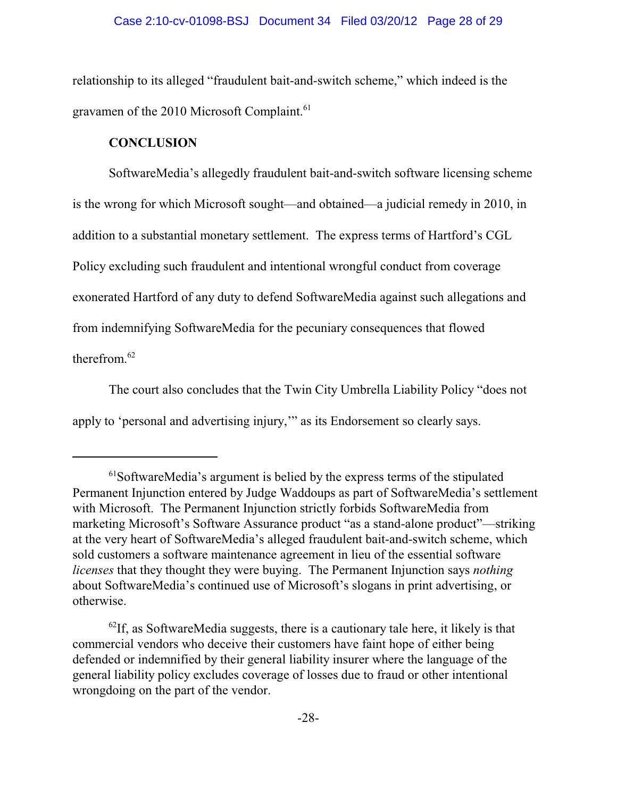relationship to its alleged "fraudulent bait-and-switch scheme," which indeed is the gravamen of the 2010 Microsoft Complaint.<sup>61</sup>

# **CONCLUSION**

SoftwareMedia's allegedly fraudulent bait-and-switch software licensing scheme is the wrong for which Microsoft sought—and obtained—a judicial remedy in 2010, in addition to a substantial monetary settlement. The express terms of Hartford's CGL Policy excluding such fraudulent and intentional wrongful conduct from coverage exonerated Hartford of any duty to defend SoftwareMedia against such allegations and from indemnifying SoftwareMedia for the pecuniary consequences that flowed therefrom. 62

The court also concludes that the Twin City Umbrella Liability Policy "does not apply to 'personal and advertising injury,'" as its Endorsement so clearly says.

 $<sup>61</sup>$ SoftwareMedia's argument is belied by the express terms of the stipulated</sup> Permanent Injunction entered by Judge Waddoups as part of SoftwareMedia's settlement with Microsoft. The Permanent Injunction strictly forbids SoftwareMedia from marketing Microsoft's Software Assurance product "as a stand-alone product"—striking at the very heart of SoftwareMedia's alleged fraudulent bait-and-switch scheme, which sold customers a software maintenance agreement in lieu of the essential software *licenses* that they thought they were buying. The Permanent Injunction says *nothing* about SoftwareMedia's continued use of Microsoft's slogans in print advertising, or otherwise.

 $^{62}$ If, as SoftwareMedia suggests, there is a cautionary tale here, it likely is that commercial vendors who deceive their customers have faint hope of either being defended or indemnified by their general liability insurer where the language of the general liability policy excludes coverage of losses due to fraud or other intentional wrongdoing on the part of the vendor.